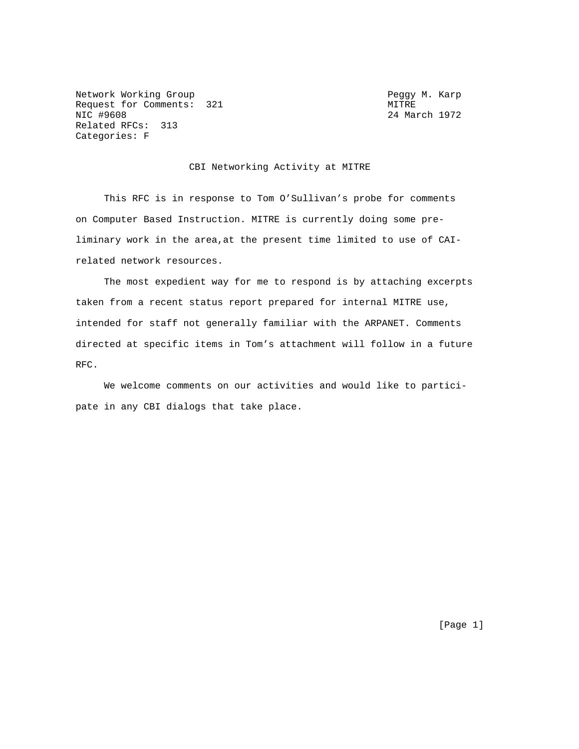Network Working Group **Peggy M. Karp** Request for Comments: 321 MITRE MIC #9608 24 Main Related RFCs: 313 Categories: F

24 March 1972

### CBI Networking Activity at MITRE

 This RFC is in response to Tom O'Sullivan's probe for comments on Computer Based Instruction. MITRE is currently doing some preliminary work in the area,at the present time limited to use of CAIrelated network resources.

 The most expedient way for me to respond is by attaching excerpts taken from a recent status report prepared for internal MITRE use, intended for staff not generally familiar with the ARPANET. Comments directed at specific items in Tom's attachment will follow in a future RFC.

 We welcome comments on our activities and would like to participate in any CBI dialogs that take place.

[Page 1]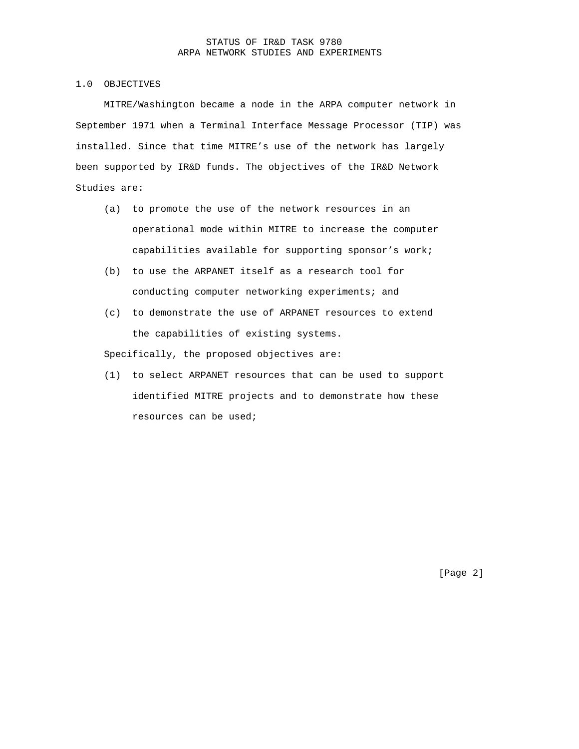### STATUS OF IR&D TASK 9780 ARPA NETWORK STUDIES AND EXPERIMENTS

## 1.0 OBJECTIVES

 MITRE/Washington became a node in the ARPA computer network in September 1971 when a Terminal Interface Message Processor (TIP) was installed. Since that time MITRE's use of the network has largely been supported by IR&D funds. The objectives of the IR&D Network Studies are:

- (a) to promote the use of the network resources in an operational mode within MITRE to increase the computer capabilities available for supporting sponsor's work;
- (b) to use the ARPANET itself as a research tool for conducting computer networking experiments; and
- (c) to demonstrate the use of ARPANET resources to extend the capabilities of existing systems.

Specifically, the proposed objectives are:

 (1) to select ARPANET resources that can be used to support identified MITRE projects and to demonstrate how these resources can be used;

[Page 2]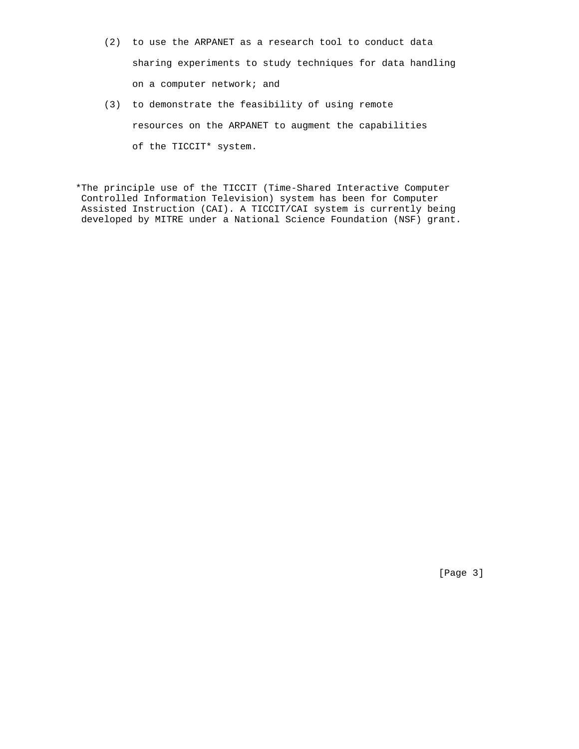- (2) to use the ARPANET as a research tool to conduct data sharing experiments to study techniques for data handling on a computer network; and
- (3) to demonstrate the feasibility of using remote resources on the ARPANET to augment the capabilities of the TICCIT\* system.

\*The principle use of the TICCIT (Time-Shared Interactive Computer Controlled Information Television) system has been for Computer Assisted Instruction (CAI). A TICCIT/CAI system is currently being developed by MITRE under a National Science Foundation (NSF) grant.

[Page 3]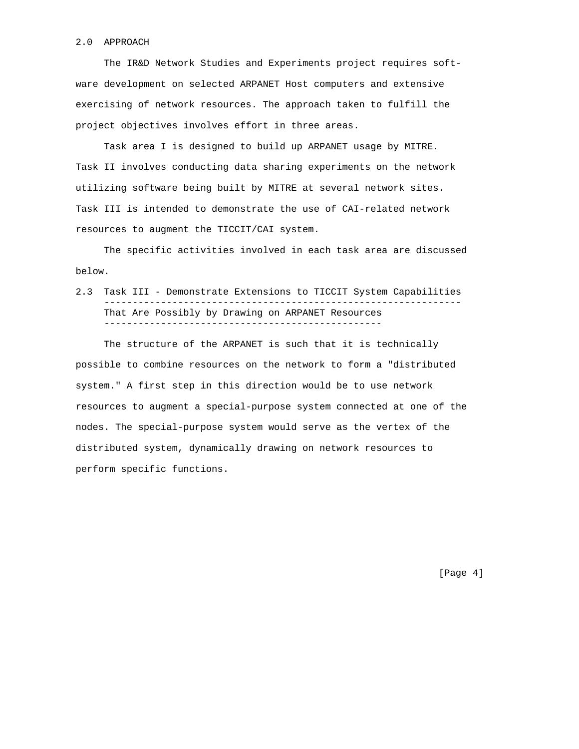#### 2.0 APPROACH

 The IR&D Network Studies and Experiments project requires software development on selected ARPANET Host computers and extensive exercising of network resources. The approach taken to fulfill the project objectives involves effort in three areas.

 Task area I is designed to build up ARPANET usage by MITRE. Task II involves conducting data sharing experiments on the network utilizing software being built by MITRE at several network sites. Task III is intended to demonstrate the use of CAI-related network resources to augment the TICCIT/CAI system.

 The specific activities involved in each task area are discussed below.

2.3 Task III - Demonstrate Extensions to TICCIT System Capabilities --------------------------------------------------------------- That Are Possibly by Drawing on ARPANET Resources -------------------------------------------------

 The structure of the ARPANET is such that it is technically possible to combine resources on the network to form a "distributed system." A first step in this direction would be to use network resources to augment a special-purpose system connected at one of the nodes. The special-purpose system would serve as the vertex of the distributed system, dynamically drawing on network resources to perform specific functions.

[Page 4]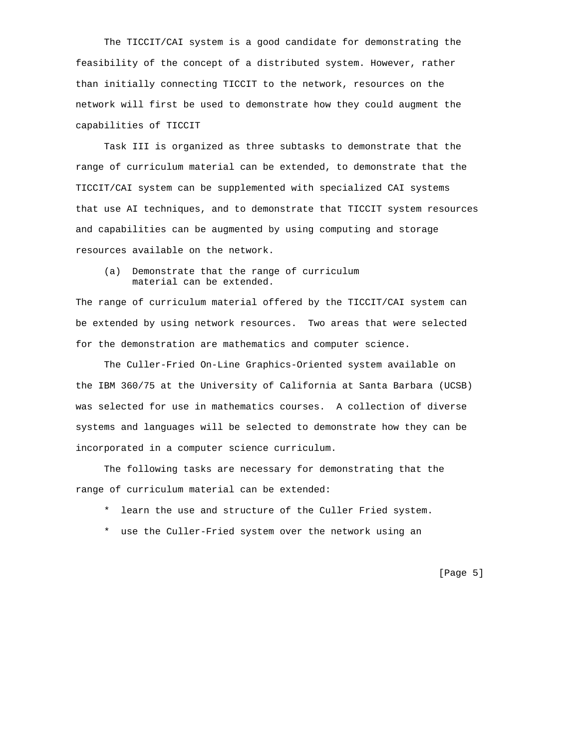The TICCIT/CAI system is a good candidate for demonstrating the feasibility of the concept of a distributed system. However, rather than initially connecting TICCIT to the network, resources on the network will first be used to demonstrate how they could augment the capabilities of TICCIT

 Task III is organized as three subtasks to demonstrate that the range of curriculum material can be extended, to demonstrate that the TICCIT/CAI system can be supplemented with specialized CAI systems that use AI techniques, and to demonstrate that TICCIT system resources and capabilities can be augmented by using computing and storage resources available on the network.

 (a) Demonstrate that the range of curriculum material can be extended.

The range of curriculum material offered by the TICCIT/CAI system can be extended by using network resources. Two areas that were selected for the demonstration are mathematics and computer science.

 The Culler-Fried On-Line Graphics-Oriented system available on the IBM 360/75 at the University of California at Santa Barbara (UCSB) was selected for use in mathematics courses. A collection of diverse systems and languages will be selected to demonstrate how they can be incorporated in a computer science curriculum.

 The following tasks are necessary for demonstrating that the range of curriculum material can be extended:

- \* learn the use and structure of the Culler Fried system.
- \* use the Culler-Fried system over the network using an

[Page 5]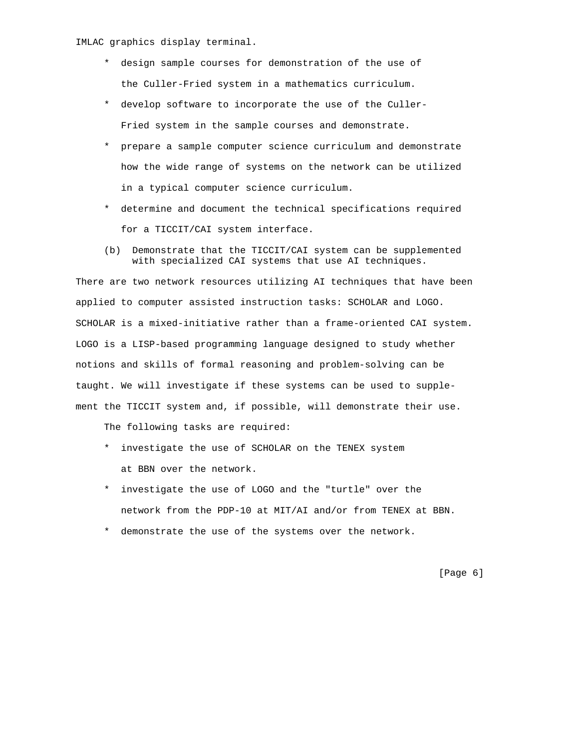IMLAC graphics display terminal.

- \* design sample courses for demonstration of the use of the Culler-Fried system in a mathematics curriculum.
- \* develop software to incorporate the use of the Culler- Fried system in the sample courses and demonstrate.
- \* prepare a sample computer science curriculum and demonstrate how the wide range of systems on the network can be utilized in a typical computer science curriculum.
- \* determine and document the technical specifications required for a TICCIT/CAI system interface.
- (b) Demonstrate that the TICCIT/CAI system can be supplemented with specialized CAI systems that use AI techniques.

There are two network resources utilizing AI techniques that have been applied to computer assisted instruction tasks: SCHOLAR and LOGO. SCHOLAR is a mixed-initiative rather than a frame-oriented CAI system. LOGO is a LISP-based programming language designed to study whether notions and skills of formal reasoning and problem-solving can be taught. We will investigate if these systems can be used to supplement the TICCIT system and, if possible, will demonstrate their use.

The following tasks are required:

- \* investigate the use of SCHOLAR on the TENEX system at BBN over the network.
- \* investigate the use of LOGO and the "turtle" over the network from the PDP-10 at MIT/AI and/or from TENEX at BBN.
- \* demonstrate the use of the systems over the network.

[Page 6]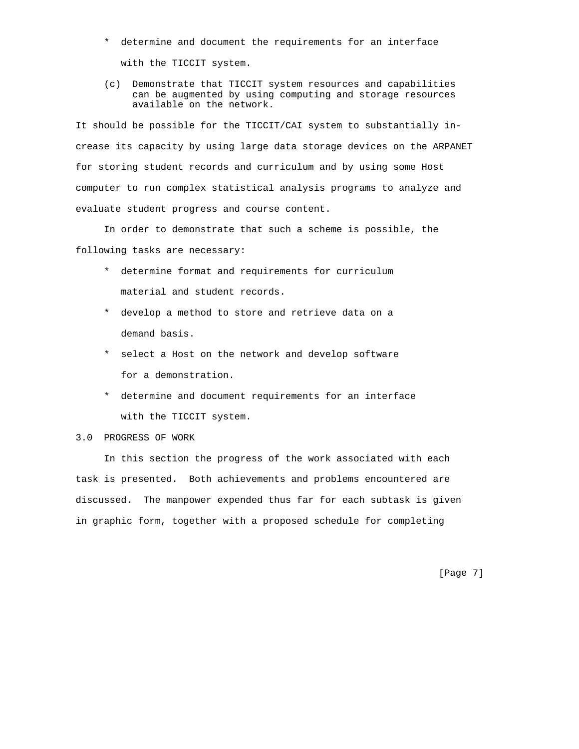- \* determine and document the requirements for an interface with the TICCIT system.
- (c) Demonstrate that TICCIT system resources and capabilities can be augmented by using computing and storage resources available on the network.

It should be possible for the TICCIT/CAI system to substantially increase its capacity by using large data storage devices on the ARPANET for storing student records and curriculum and by using some Host computer to run complex statistical analysis programs to analyze and evaluate student progress and course content.

 In order to demonstrate that such a scheme is possible, the following tasks are necessary:

- \* determine format and requirements for curriculum material and student records.
- \* develop a method to store and retrieve data on a demand basis.
- \* select a Host on the network and develop software for a demonstration.
- \* determine and document requirements for an interface with the TICCIT system.

# 3.0 PROGRESS OF WORK

 In this section the progress of the work associated with each task is presented. Both achievements and problems encountered are discussed. The manpower expended thus far for each subtask is given in graphic form, together with a proposed schedule for completing

[Page 7]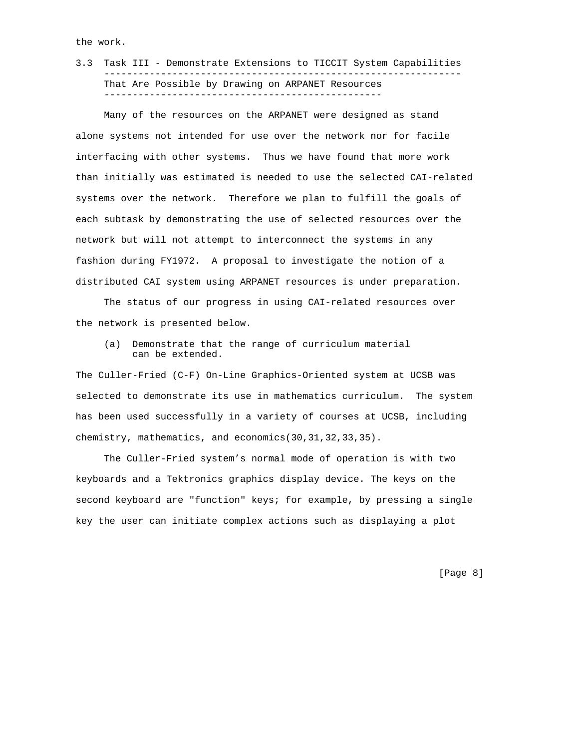the work.

3.3 Task III - Demonstrate Extensions to TICCIT System Capabilities --------------------------------------------------------------- That Are Possible by Drawing on ARPANET Resources -------------------------------------------------

 Many of the resources on the ARPANET were designed as stand alone systems not intended for use over the network nor for facile interfacing with other systems. Thus we have found that more work than initially was estimated is needed to use the selected CAI-related systems over the network. Therefore we plan to fulfill the goals of each subtask by demonstrating the use of selected resources over the network but will not attempt to interconnect the systems in any fashion during FY1972. A proposal to investigate the notion of a distributed CAI system using ARPANET resources is under preparation.

 The status of our progress in using CAI-related resources over the network is presented below.

 (a) Demonstrate that the range of curriculum material can be extended.

The Culler-Fried (C-F) On-Line Graphics-Oriented system at UCSB was selected to demonstrate its use in mathematics curriculum. The system has been used successfully in a variety of courses at UCSB, including chemistry, mathematics, and economics(30,31,32,33,35).

 The Culler-Fried system's normal mode of operation is with two keyboards and a Tektronics graphics display device. The keys on the second keyboard are "function" keys; for example, by pressing a single key the user can initiate complex actions such as displaying a plot

[Page 8]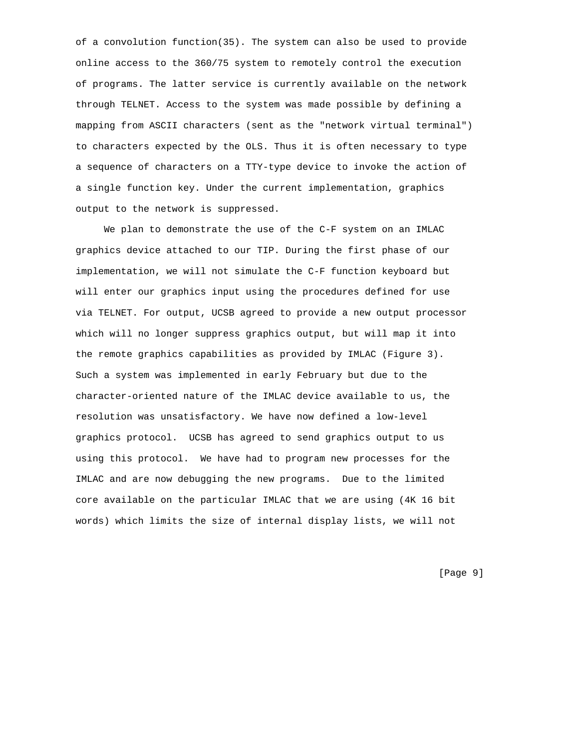of a convolution function(35). The system can also be used to provide online access to the 360/75 system to remotely control the execution of programs. The latter service is currently available on the network through TELNET. Access to the system was made possible by defining a mapping from ASCII characters (sent as the "network virtual terminal") to characters expected by the OLS. Thus it is often necessary to type a sequence of characters on a TTY-type device to invoke the action of a single function key. Under the current implementation, graphics output to the network is suppressed.

 We plan to demonstrate the use of the C-F system on an IMLAC graphics device attached to our TIP. During the first phase of our implementation, we will not simulate the C-F function keyboard but will enter our graphics input using the procedures defined for use via TELNET. For output, UCSB agreed to provide a new output processor which will no longer suppress graphics output, but will map it into the remote graphics capabilities as provided by IMLAC (Figure 3). Such a system was implemented in early February but due to the character-oriented nature of the IMLAC device available to us, the resolution was unsatisfactory. We have now defined a low-level graphics protocol. UCSB has agreed to send graphics output to us using this protocol. We have had to program new processes for the IMLAC and are now debugging the new programs. Due to the limited core available on the particular IMLAC that we are using (4K 16 bit words) which limits the size of internal display lists, we will not

[Page 9]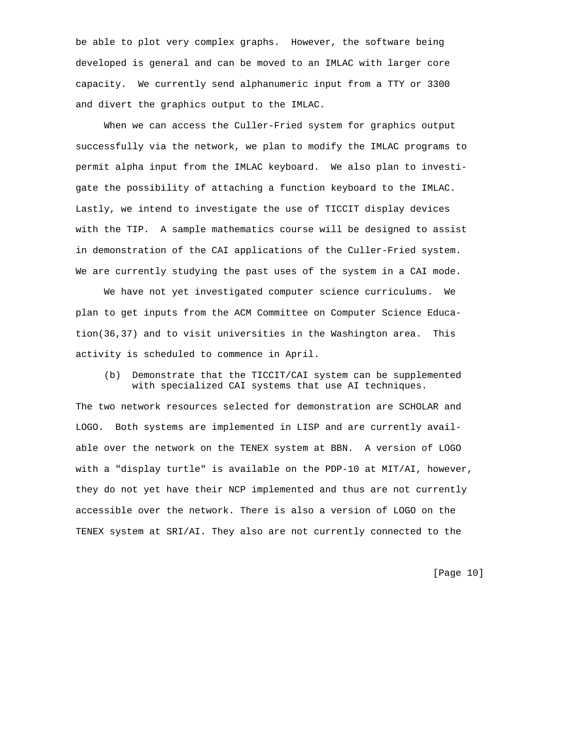be able to plot very complex graphs. However, the software being developed is general and can be moved to an IMLAC with larger core capacity. We currently send alphanumeric input from a TTY or 3300 and divert the graphics output to the IMLAC.

 When we can access the Culler-Fried system for graphics output successfully via the network, we plan to modify the IMLAC programs to permit alpha input from the IMLAC keyboard. We also plan to investigate the possibility of attaching a function keyboard to the IMLAC. Lastly, we intend to investigate the use of TICCIT display devices with the TIP. A sample mathematics course will be designed to assist in demonstration of the CAI applications of the Culler-Fried system. We are currently studying the past uses of the system in a CAI mode.

 We have not yet investigated computer science curriculums. We plan to get inputs from the ACM Committee on Computer Science Education(36,37) and to visit universities in the Washington area. This activity is scheduled to commence in April.

 (b) Demonstrate that the TICCIT/CAI system can be supplemented with specialized CAI systems that use AI techniques.

The two network resources selected for demonstration are SCHOLAR and LOGO. Both systems are implemented in LISP and are currently available over the network on the TENEX system at BBN. A version of LOGO with a "display turtle" is available on the PDP-10 at MIT/AI, however, they do not yet have their NCP implemented and thus are not currently accessible over the network. There is also a version of LOGO on the TENEX system at SRI/AI. They also are not currently connected to the

[Page 10]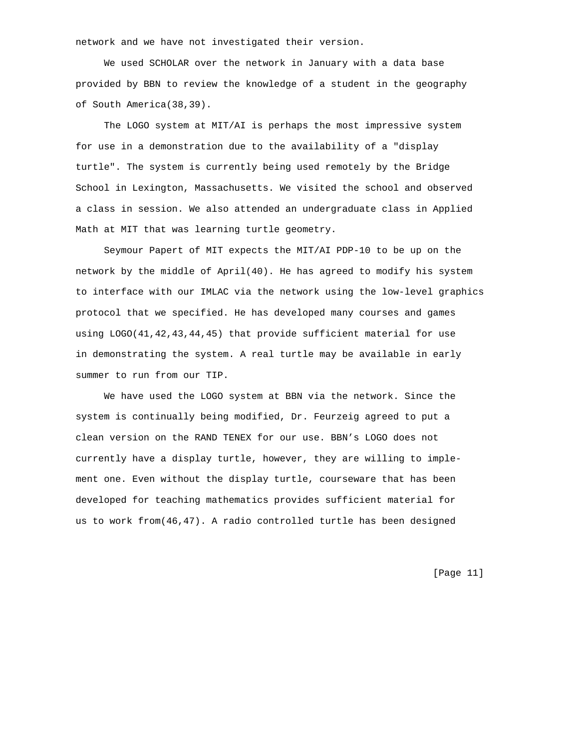network and we have not investigated their version.

 We used SCHOLAR over the network in January with a data base provided by BBN to review the knowledge of a student in the geography of South America(38,39).

 The LOGO system at MIT/AI is perhaps the most impressive system for use in a demonstration due to the availability of a "display turtle". The system is currently being used remotely by the Bridge School in Lexington, Massachusetts. We visited the school and observed a class in session. We also attended an undergraduate class in Applied Math at MIT that was learning turtle geometry.

 Seymour Papert of MIT expects the MIT/AI PDP-10 to be up on the network by the middle of April(40). He has agreed to modify his system to interface with our IMLAC via the network using the low-level graphics protocol that we specified. He has developed many courses and games using LOGO(41,42,43,44,45) that provide sufficient material for use in demonstrating the system. A real turtle may be available in early summer to run from our TIP.

 We have used the LOGO system at BBN via the network. Since the system is continually being modified, Dr. Feurzeig agreed to put a clean version on the RAND TENEX for our use. BBN's LOGO does not currently have a display turtle, however, they are willing to implement one. Even without the display turtle, courseware that has been developed for teaching mathematics provides sufficient material for us to work from(46,47). A radio controlled turtle has been designed

[Page 11]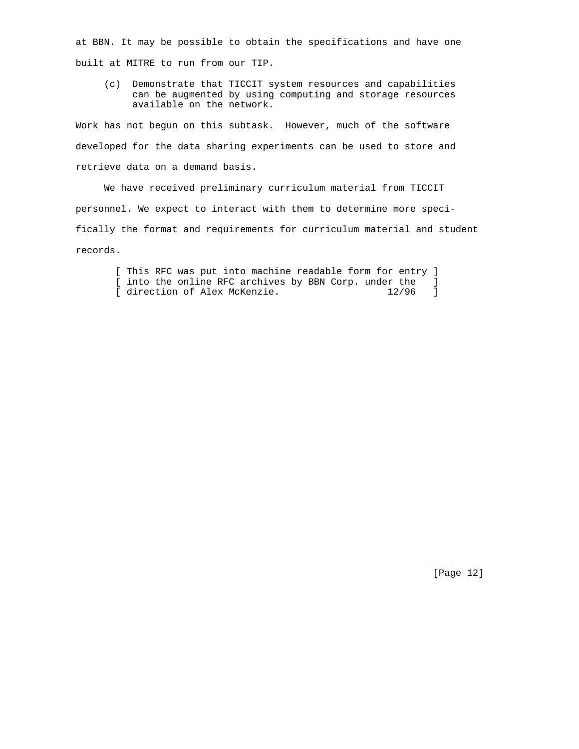at BBN. It may be possible to obtain the specifications and have one built at MITRE to run from our TIP.

 (c) Demonstrate that TICCIT system resources and capabilities can be augmented by using computing and storage resources available on the network.

Work has not begun on this subtask. However, much of the software developed for the data sharing experiments can be used to store and retrieve data on a demand basis.

 We have received preliminary curriculum material from TICCIT personnel. We expect to interact with them to determine more specifically the format and requirements for curriculum material and student records.

 [ This RFC was put into machine readable form for entry ] [ into the online RFC archives by BBN Corp. under the ] [ direction of Alex McKenzie. 12/96 ]

[Page 12]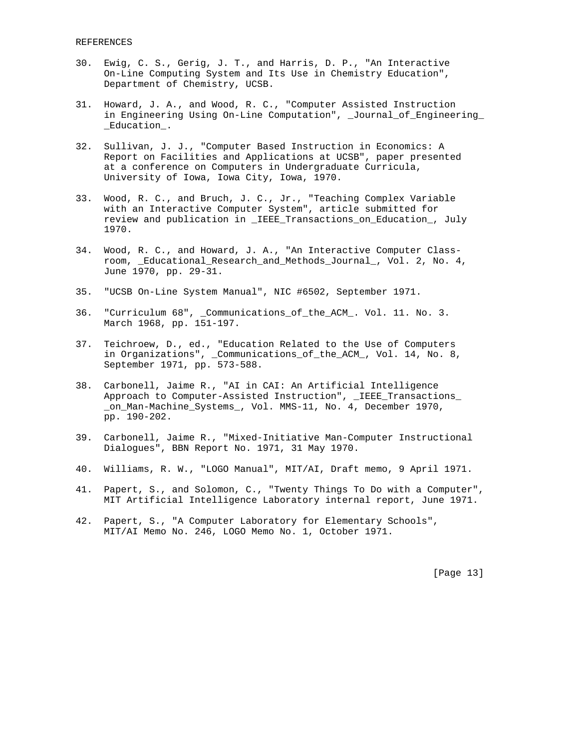- 30. Ewig, C. S., Gerig, J. T., and Harris, D. P., "An Interactive On-Line Computing System and Its Use in Chemistry Education", Department of Chemistry, UCSB.
- 31. Howard, J. A., and Wood, R. C., "Computer Assisted Instruction in Engineering Using On-Line Computation", \_Journal\_of\_Engineering\_ \_Education\_.
- 32. Sullivan, J. J., "Computer Based Instruction in Economics: A Report on Facilities and Applications at UCSB", paper presented at a conference on Computers in Undergraduate Curricula, University of Iowa, Iowa City, Iowa, 1970.
- 33. Wood, R. C., and Bruch, J. C., Jr., "Teaching Complex Variable with an Interactive Computer System", article submitted for review and publication in \_IEEE\_Transactions\_on\_Education\_, July 1970.
- 34. Wood, R. C., and Howard, J. A., "An Interactive Computer Class room, \_Educational\_Research\_and\_Methods\_Journal\_, Vol. 2, No. 4, June 1970, pp. 29-31.
- 35. "UCSB On-Line System Manual", NIC #6502, September 1971.
- 36. "Curriculum 68", \_Communications\_of\_the\_ACM\_. Vol. 11. No. 3. March 1968, pp. 151-197.
- 37. Teichroew, D., ed., "Education Related to the Use of Computers in Organizations", \_Communications\_of\_the\_ACM\_, Vol. 14, No. 8, September 1971, pp. 573-588.
- 38. Carbonell, Jaime R., "AI in CAI: An Artificial Intelligence Approach to Computer-Assisted Instruction", \_IEEE\_Transactions\_ \_on\_Man-Machine\_Systems\_, Vol. MMS-11, No. 4, December 1970, pp. 190-202.
- 39. Carbonell, Jaime R., "Mixed-Initiative Man-Computer Instructional Dialogues", BBN Report No. 1971, 31 May 1970.
- 40. Williams, R. W., "LOGO Manual", MIT/AI, Draft memo, 9 April 1971.
- 41. Papert, S., and Solomon, C., "Twenty Things To Do with a Computer", MIT Artificial Intelligence Laboratory internal report, June 1971.
- 42. Papert, S., "A Computer Laboratory for Elementary Schools", MIT/AI Memo No. 246, LOGO Memo No. 1, October 1971.

[Page 13]